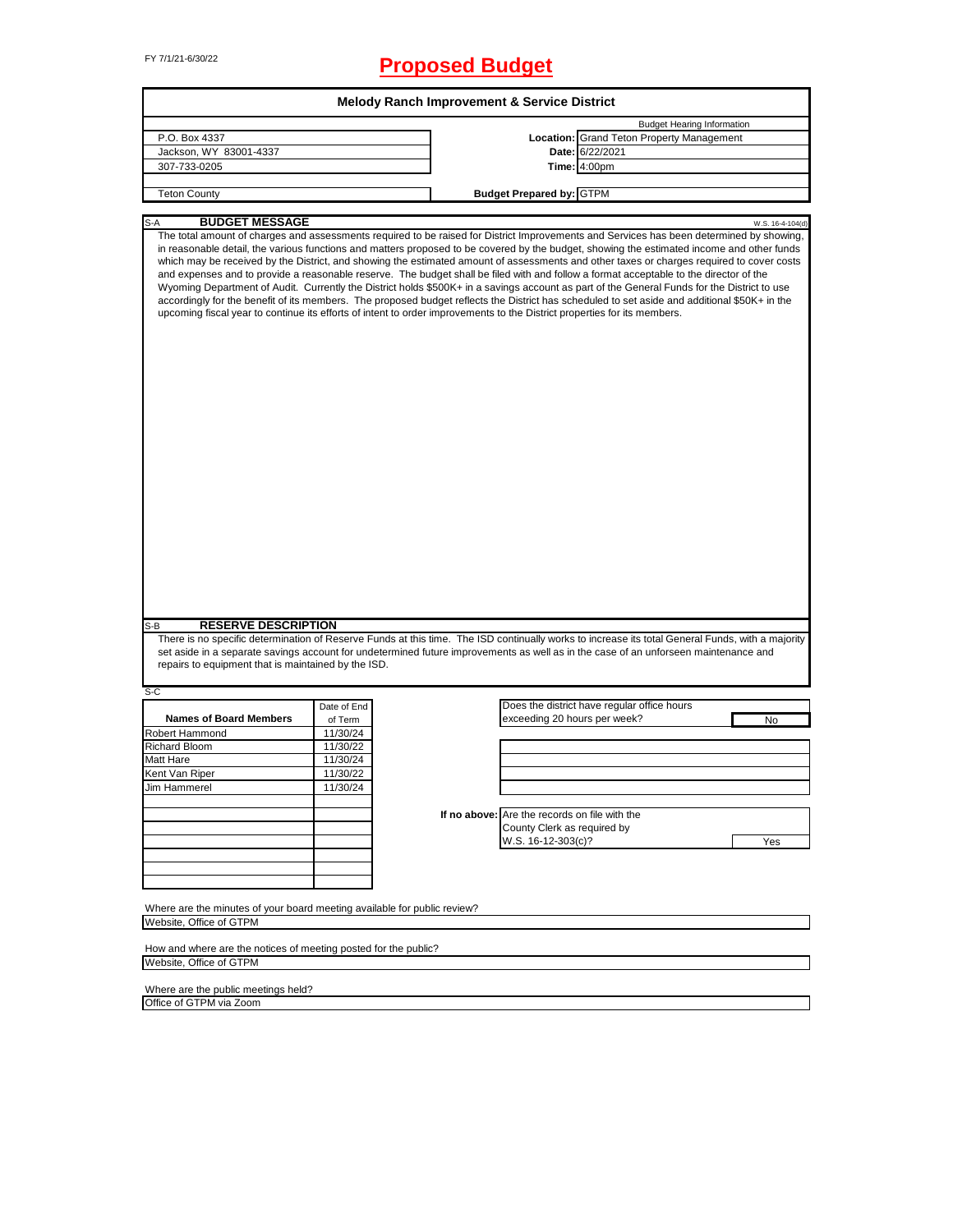# FY 7/1/21-6/30/22 **Proposed Budget**

| <b>Melody Ranch Improvement &amp; Service District</b>                                                                                                                                                                                                                                                                                                                                                                                                                                                                                                                                                                                                                                                                                                                                                                                                        |             |  |                                               |                                   |                  |  |  |  |
|---------------------------------------------------------------------------------------------------------------------------------------------------------------------------------------------------------------------------------------------------------------------------------------------------------------------------------------------------------------------------------------------------------------------------------------------------------------------------------------------------------------------------------------------------------------------------------------------------------------------------------------------------------------------------------------------------------------------------------------------------------------------------------------------------------------------------------------------------------------|-------------|--|-----------------------------------------------|-----------------------------------|------------------|--|--|--|
|                                                                                                                                                                                                                                                                                                                                                                                                                                                                                                                                                                                                                                                                                                                                                                                                                                                               |             |  |                                               | <b>Budget Hearing Information</b> |                  |  |  |  |
| P.O. Box 4337                                                                                                                                                                                                                                                                                                                                                                                                                                                                                                                                                                                                                                                                                                                                                                                                                                                 |             |  | Location: Grand Teton Property Management     |                                   |                  |  |  |  |
| Jackson, WY 83001-4337                                                                                                                                                                                                                                                                                                                                                                                                                                                                                                                                                                                                                                                                                                                                                                                                                                        |             |  | Date: 6/22/2021                               |                                   |                  |  |  |  |
| 307-733-0205                                                                                                                                                                                                                                                                                                                                                                                                                                                                                                                                                                                                                                                                                                                                                                                                                                                  |             |  | <b>Time: 4:00pm</b>                           |                                   |                  |  |  |  |
|                                                                                                                                                                                                                                                                                                                                                                                                                                                                                                                                                                                                                                                                                                                                                                                                                                                               |             |  |                                               |                                   |                  |  |  |  |
| <b>Teton County</b>                                                                                                                                                                                                                                                                                                                                                                                                                                                                                                                                                                                                                                                                                                                                                                                                                                           |             |  | <b>Budget Prepared by: GTPM</b>               |                                   |                  |  |  |  |
|                                                                                                                                                                                                                                                                                                                                                                                                                                                                                                                                                                                                                                                                                                                                                                                                                                                               |             |  |                                               |                                   |                  |  |  |  |
| <b>BUDGET MESSAGE</b><br>S-A<br>The total amount of charges and assessments required to be raised for District Improvements and Services has been determined by showing,                                                                                                                                                                                                                                                                                                                                                                                                                                                                                                                                                                                                                                                                                      |             |  |                                               |                                   | W.S. 16-4-104(d) |  |  |  |
| in reasonable detail, the various functions and matters proposed to be covered by the budget, showing the estimated income and other funds<br>which may be received by the District, and showing the estimated amount of assessments and other taxes or charges required to cover costs<br>and expenses and to provide a reasonable reserve. The budget shall be filed with and follow a format acceptable to the director of the<br>Wyoming Department of Audit. Currently the District holds \$500K+ in a savings account as part of the General Funds for the District to use<br>accordingly for the benefit of its members. The proposed budget reflects the District has scheduled to set aside and additional \$50K+ in the<br>upcoming fiscal year to continue its efforts of intent to order improvements to the District properties for its members. |             |  |                                               |                                   |                  |  |  |  |
|                                                                                                                                                                                                                                                                                                                                                                                                                                                                                                                                                                                                                                                                                                                                                                                                                                                               |             |  |                                               |                                   |                  |  |  |  |
| <b>RESERVE DESCRIPTION</b><br>S-B<br>There is no specific determination of Reserve Funds at this time. The ISD continually works to increase its total General Funds, with a majority<br>set aside in a separate savings account for undetermined future improvements as well as in the case of an unforseen maintenance and<br>repairs to equipment that is maintained by the ISD.                                                                                                                                                                                                                                                                                                                                                                                                                                                                           |             |  |                                               |                                   |                  |  |  |  |
| S-C                                                                                                                                                                                                                                                                                                                                                                                                                                                                                                                                                                                                                                                                                                                                                                                                                                                           | Date of End |  | Does the district have regular office hours   |                                   |                  |  |  |  |
| <b>Names of Board Members</b>                                                                                                                                                                                                                                                                                                                                                                                                                                                                                                                                                                                                                                                                                                                                                                                                                                 | of Term     |  | exceeding 20 hours per week?                  |                                   | No               |  |  |  |
| <b>Robert Hammond</b>                                                                                                                                                                                                                                                                                                                                                                                                                                                                                                                                                                                                                                                                                                                                                                                                                                         | 11/30/24    |  |                                               |                                   |                  |  |  |  |
| Richard Bloom                                                                                                                                                                                                                                                                                                                                                                                                                                                                                                                                                                                                                                                                                                                                                                                                                                                 | 11/30/22    |  |                                               |                                   |                  |  |  |  |
| Matt Hare                                                                                                                                                                                                                                                                                                                                                                                                                                                                                                                                                                                                                                                                                                                                                                                                                                                     | 11/30/24    |  |                                               |                                   |                  |  |  |  |
| Kent Van Riper                                                                                                                                                                                                                                                                                                                                                                                                                                                                                                                                                                                                                                                                                                                                                                                                                                                | 11/30/22    |  |                                               |                                   |                  |  |  |  |
| Jim Hammerel                                                                                                                                                                                                                                                                                                                                                                                                                                                                                                                                                                                                                                                                                                                                                                                                                                                  | 11/30/24    |  |                                               |                                   |                  |  |  |  |
|                                                                                                                                                                                                                                                                                                                                                                                                                                                                                                                                                                                                                                                                                                                                                                                                                                                               |             |  |                                               |                                   |                  |  |  |  |
|                                                                                                                                                                                                                                                                                                                                                                                                                                                                                                                                                                                                                                                                                                                                                                                                                                                               |             |  | If no above: Are the records on file with the |                                   |                  |  |  |  |
|                                                                                                                                                                                                                                                                                                                                                                                                                                                                                                                                                                                                                                                                                                                                                                                                                                                               |             |  | County Clerk as required by                   |                                   |                  |  |  |  |
|                                                                                                                                                                                                                                                                                                                                                                                                                                                                                                                                                                                                                                                                                                                                                                                                                                                               |             |  | W.S. 16-12-303(c)?                            |                                   | Yes              |  |  |  |
|                                                                                                                                                                                                                                                                                                                                                                                                                                                                                                                                                                                                                                                                                                                                                                                                                                                               |             |  |                                               |                                   |                  |  |  |  |
|                                                                                                                                                                                                                                                                                                                                                                                                                                                                                                                                                                                                                                                                                                                                                                                                                                                               |             |  |                                               |                                   |                  |  |  |  |
|                                                                                                                                                                                                                                                                                                                                                                                                                                                                                                                                                                                                                                                                                                                                                                                                                                                               |             |  |                                               |                                   |                  |  |  |  |
| Where are the minutes of your board meeting available for public review?<br>Website. Office of GTPM                                                                                                                                                                                                                                                                                                                                                                                                                                                                                                                                                                                                                                                                                                                                                           |             |  |                                               |                                   |                  |  |  |  |
|                                                                                                                                                                                                                                                                                                                                                                                                                                                                                                                                                                                                                                                                                                                                                                                                                                                               |             |  |                                               |                                   |                  |  |  |  |
| How and where are the notices of meeting posted for the public?                                                                                                                                                                                                                                                                                                                                                                                                                                                                                                                                                                                                                                                                                                                                                                                               |             |  |                                               |                                   |                  |  |  |  |
| Website. Office of GTPM                                                                                                                                                                                                                                                                                                                                                                                                                                                                                                                                                                                                                                                                                                                                                                                                                                       |             |  |                                               |                                   |                  |  |  |  |

٦

Where are the public meetings held? Office of GTPM via Zoom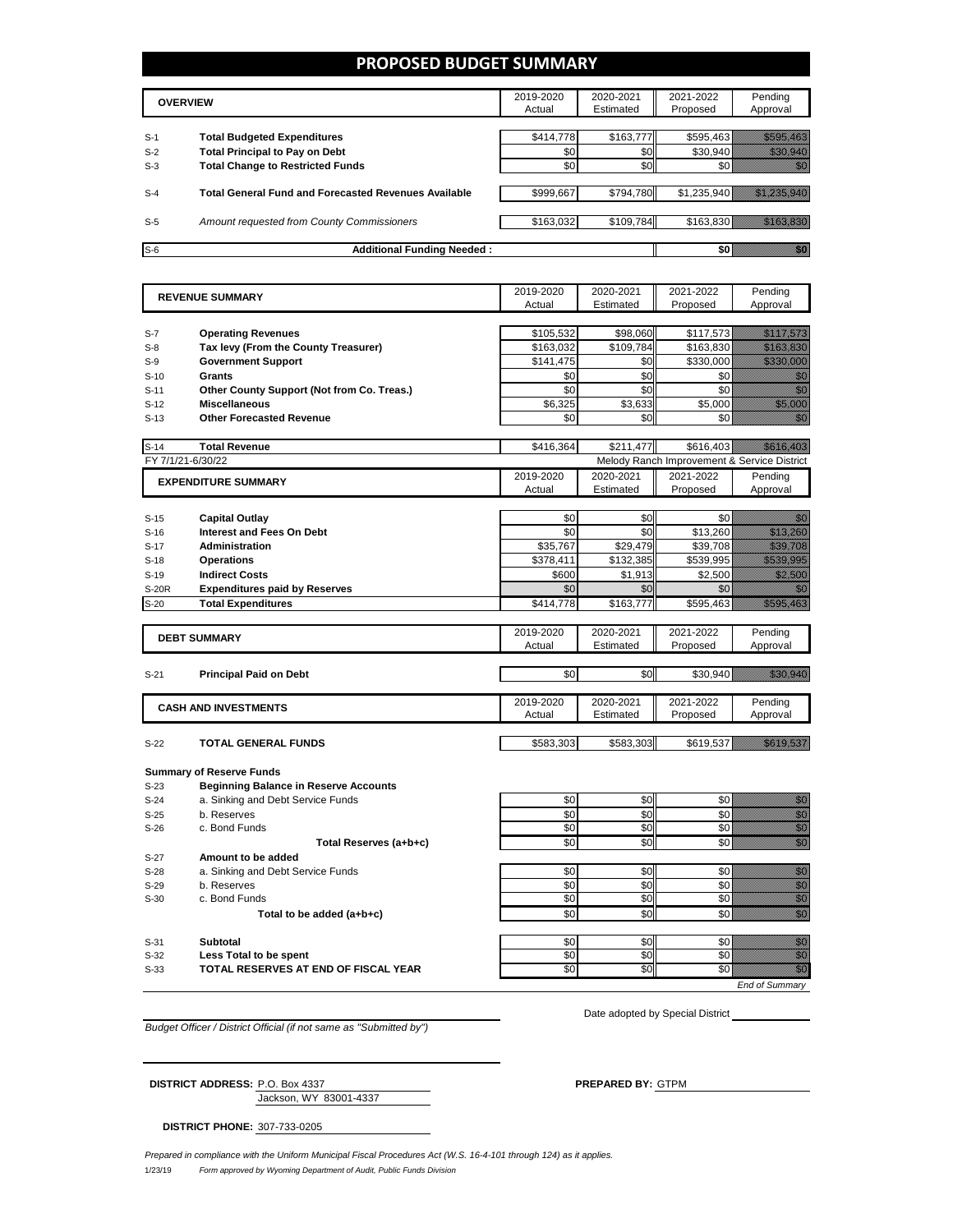### **PROPOSED BUDGET SUMMARY**

|       | <b>OVERVIEW</b>                                             | 2019-2020<br>Actual | 2020-2021<br>Estimated | 2021-2022<br>Proposed | Pending<br>Approval |
|-------|-------------------------------------------------------------|---------------------|------------------------|-----------------------|---------------------|
| $S-1$ | <b>Total Budgeted Expenditures</b>                          | \$414.778           | \$163.777              | \$595.463             |                     |
| $S-2$ | <b>Total Principal to Pay on Debt</b>                       | \$0                 | \$0                    | \$30.940              |                     |
| $S-3$ | <b>Total Change to Restricted Funds</b>                     | \$0                 | \$0                    |                       |                     |
|       |                                                             |                     |                        |                       |                     |
| $S-4$ | <b>Total General Fund and Forecasted Revenues Available</b> | \$999,667           | \$794,780              | \$1,235,940           |                     |
|       |                                                             |                     |                        |                       |                     |
| $S-5$ | Amount requested from County Commissioners                  | \$163,032           | \$109,784              | \$163.830             |                     |
| $S-6$ | <b>Additional Funding Needed:</b>                           |                     |                        |                       |                     |

| Estimated<br>Proposed<br>Approval<br>Actual<br><b>Operating Revenues</b><br>\$105,532<br>\$98,060<br>\$117,573<br><u>Maritim Sa</u><br>$S-7$<br>Tax levy (From the County Treasurer)<br>\$109.784<br><u>Shahaha a</u><br>\$163,032<br>\$163,830<br>$S-8$<br><u> Kabupatèn Ba</u><br><b>Government Support</b><br>\$141,475<br>\$0<br>\$330,000<br>$S-9$<br>\$0<br>Grants<br>\$0<br>\$0<br>en de la forma de la forma de la forma de la forma de la forma de la forma de la forma de la forma de la forma<br>Del de la forma de la forma de la forma de la forma de la forma de la forma de la forma de la forma de la form<br>$S-10$<br>en de la forma de la forma de la forma de la forma de la forma de la forma de la forma de la forma de la forma<br>Constituir de la forma de la forma de la forma de la forma de la forma de la forma de la forma de la forma de<br>\$0<br>\$0<br>\$0<br>Other County Support (Not from Co. Treas.)<br>$S-11$<br><u> Hillisoon</u><br>\$6,325<br>\$3,633<br>\$5,000<br><b>Miscellaneous</b><br>$S-12$<br>e di S<br><b>Other Forecasted Revenue</b><br>\$0<br>\$0<br>\$0<br>$S-13$<br><b>Total Revenue</b><br>\$416,364<br>\$211,477<br>\$616,403<br>$S-14$<br>FY 7/1/21-6/30/22<br>Melody Ranch Improvement & Service District<br>2019-2020<br>2020-2021<br>2021-2022<br>Pending<br><b>EXPENDITURE SUMMARY</b><br>Approval<br>Actual<br>Estimated<br>Proposed<br>e di B<br>\$0<br>\$0<br>\$0<br><b>Capital Outlay</b><br>$S-15$<br>\$0<br>\$0<br>\$13,260<br><u> Maria Maria I</u><br><b>Interest and Fees On Debt</b><br>$S-16$<br>\$29,479<br>\$35,767<br><u> Martin Sal</u><br><b>Administration</b><br>\$39,708<br>$S-17$<br><u> Maria Maria I</u><br>\$378,411<br>\$132,385<br>\$539,995<br>$S-18$<br><b>Operations</b><br><b>Indirect Costs</b><br>\$600<br>\$1,913<br>\$2,500<br><u>Million S</u><br>$S-19$<br>\$0<br>\$0<br>\$0<br>e di Barcelonia<br>1999 - Paris Barcelonia<br>1999 - Paris Barcelonia<br><b>S-20R</b><br><b>Expenditures paid by Reserves</b><br>\$163,777<br><u> Tanah Ma</u><br>$S-20$<br><b>Total Expenditures</b><br>\$414,778<br>\$595,463<br>2021-2022<br>2019-2020<br>2020-2021<br>Pending<br><b>DEBT SUMMARY</b><br>Actual<br>Estimated<br>Proposed<br>Approval<br>\$0<br>\$0<br><u> Martin Sa</u><br>\$30,940<br>$S-21$<br><b>Principal Paid on Debt</b><br>2019-2020<br>2020-2021<br>2021-2022<br>Pending<br><b>CASH AND INVESTMENTS</b><br>Approval<br>Actual<br>Estimated<br>Proposed<br><u>istorialistik</u><br><b>TOTAL GENERAL FUNDS</b><br>\$583,303<br>\$583,303<br>\$619,537<br>$S-22$<br><b>Summary of Reserve Funds</b><br><b>Beginning Balance in Reserve Accounts</b><br>S-23<br>a. Sinking and Debt Service Funds<br>\$0<br>\$0<br>\$0<br>en 1979.<br>Mala<br>$S-24$<br>e de la construcción de la construcción de la construcción de la construcción de la construcción de la construcción<br>Construcción de la construcción de la construcción de la construcción de la construcción de la construcció<br>\$0<br>\$0<br>\$0<br>b. Reserves<br>$S-25$<br>\$0<br>\$0<br>\$0<br>c. Bond Funds<br>$S-26$<br>min<br>Mili<br>\$0<br>\$0<br>\$0<br>Total Reserves (a+b+c)<br>Amount to be added<br>$S-27$<br>e de la construcción de la construcción de la construcción de la construcción de la construcción de la constru<br>\$0<br>\$0<br>\$0<br>$S-28$<br>a. Sinking and Debt Service Funds<br>\$0<br>\$0<br>\$0<br>b. Reserves<br>$S-29$<br>\$0<br>\$0<br>\$0<br>c. Bond Funds<br>$S-30$<br>en<br>Geboorte<br>\$0<br>\$0<br>\$0<br>Total to be added (a+b+c)<br>\$0<br>\$0<br>\$0<br>e de la construcción de la construcción de la construcción de la construcción de la construcción de la construcción<br>Construcción<br><b>Subtotal</b><br>$S-31$<br>\$0<br>\$0<br>Less Total to be spent<br>\$0<br>$S-32$<br>\$0<br>\$0<br>\$0<br>en dialek<br>Kalendaria<br>TOTAL RESERVES AT END OF FISCAL YEAR<br>$S-33$ | <b>REVENUE SUMMARY</b> | 2019-2020 | 2020-2021 | 2021-2022 | Pending        |
|------------------------------------------------------------------------------------------------------------------------------------------------------------------------------------------------------------------------------------------------------------------------------------------------------------------------------------------------------------------------------------------------------------------------------------------------------------------------------------------------------------------------------------------------------------------------------------------------------------------------------------------------------------------------------------------------------------------------------------------------------------------------------------------------------------------------------------------------------------------------------------------------------------------------------------------------------------------------------------------------------------------------------------------------------------------------------------------------------------------------------------------------------------------------------------------------------------------------------------------------------------------------------------------------------------------------------------------------------------------------------------------------------------------------------------------------------------------------------------------------------------------------------------------------------------------------------------------------------------------------------------------------------------------------------------------------------------------------------------------------------------------------------------------------------------------------------------------------------------------------------------------------------------------------------------------------------------------------------------------------------------------------------------------------------------------------------------------------------------------------------------------------------------------------------------------------------------------------------------------------------------------------------------------------------------------------------------------------------------------------------------------------------------------------------------------------------------------------------------------------------------------------------------------------------------------------------------------------------------------------------------------------------------------------------------------------------------------------------------------------------------------------------------------------------------------------------------------------------------------------------------------------------------------------------------------------------------------------------------------------------------------------------------------------------------------------------------------------------------------------------------------------------------------------------------------------------------------------------------------------------------------------------------------------------------------------------------------------------------------------------------------------------------------------------------------------------------------------------------------------------------------------------------------------------------------------------------------------------------------------------------------------------------------------------------------------------------------------------------------------------------------------------------------------------------------------------------------------------------------------------------------------------------|------------------------|-----------|-----------|-----------|----------------|
|                                                                                                                                                                                                                                                                                                                                                                                                                                                                                                                                                                                                                                                                                                                                                                                                                                                                                                                                                                                                                                                                                                                                                                                                                                                                                                                                                                                                                                                                                                                                                                                                                                                                                                                                                                                                                                                                                                                                                                                                                                                                                                                                                                                                                                                                                                                                                                                                                                                                                                                                                                                                                                                                                                                                                                                                                                                                                                                                                                                                                                                                                                                                                                                                                                                                                                                                                                                                                                                                                                                                                                                                                                                                                                                                                                                                                                                                                                            |                        |           |           |           |                |
|                                                                                                                                                                                                                                                                                                                                                                                                                                                                                                                                                                                                                                                                                                                                                                                                                                                                                                                                                                                                                                                                                                                                                                                                                                                                                                                                                                                                                                                                                                                                                                                                                                                                                                                                                                                                                                                                                                                                                                                                                                                                                                                                                                                                                                                                                                                                                                                                                                                                                                                                                                                                                                                                                                                                                                                                                                                                                                                                                                                                                                                                                                                                                                                                                                                                                                                                                                                                                                                                                                                                                                                                                                                                                                                                                                                                                                                                                                            |                        |           |           |           |                |
|                                                                                                                                                                                                                                                                                                                                                                                                                                                                                                                                                                                                                                                                                                                                                                                                                                                                                                                                                                                                                                                                                                                                                                                                                                                                                                                                                                                                                                                                                                                                                                                                                                                                                                                                                                                                                                                                                                                                                                                                                                                                                                                                                                                                                                                                                                                                                                                                                                                                                                                                                                                                                                                                                                                                                                                                                                                                                                                                                                                                                                                                                                                                                                                                                                                                                                                                                                                                                                                                                                                                                                                                                                                                                                                                                                                                                                                                                                            |                        |           |           |           |                |
|                                                                                                                                                                                                                                                                                                                                                                                                                                                                                                                                                                                                                                                                                                                                                                                                                                                                                                                                                                                                                                                                                                                                                                                                                                                                                                                                                                                                                                                                                                                                                                                                                                                                                                                                                                                                                                                                                                                                                                                                                                                                                                                                                                                                                                                                                                                                                                                                                                                                                                                                                                                                                                                                                                                                                                                                                                                                                                                                                                                                                                                                                                                                                                                                                                                                                                                                                                                                                                                                                                                                                                                                                                                                                                                                                                                                                                                                                                            |                        |           |           |           |                |
|                                                                                                                                                                                                                                                                                                                                                                                                                                                                                                                                                                                                                                                                                                                                                                                                                                                                                                                                                                                                                                                                                                                                                                                                                                                                                                                                                                                                                                                                                                                                                                                                                                                                                                                                                                                                                                                                                                                                                                                                                                                                                                                                                                                                                                                                                                                                                                                                                                                                                                                                                                                                                                                                                                                                                                                                                                                                                                                                                                                                                                                                                                                                                                                                                                                                                                                                                                                                                                                                                                                                                                                                                                                                                                                                                                                                                                                                                                            |                        |           |           |           |                |
|                                                                                                                                                                                                                                                                                                                                                                                                                                                                                                                                                                                                                                                                                                                                                                                                                                                                                                                                                                                                                                                                                                                                                                                                                                                                                                                                                                                                                                                                                                                                                                                                                                                                                                                                                                                                                                                                                                                                                                                                                                                                                                                                                                                                                                                                                                                                                                                                                                                                                                                                                                                                                                                                                                                                                                                                                                                                                                                                                                                                                                                                                                                                                                                                                                                                                                                                                                                                                                                                                                                                                                                                                                                                                                                                                                                                                                                                                                            |                        |           |           |           |                |
|                                                                                                                                                                                                                                                                                                                                                                                                                                                                                                                                                                                                                                                                                                                                                                                                                                                                                                                                                                                                                                                                                                                                                                                                                                                                                                                                                                                                                                                                                                                                                                                                                                                                                                                                                                                                                                                                                                                                                                                                                                                                                                                                                                                                                                                                                                                                                                                                                                                                                                                                                                                                                                                                                                                                                                                                                                                                                                                                                                                                                                                                                                                                                                                                                                                                                                                                                                                                                                                                                                                                                                                                                                                                                                                                                                                                                                                                                                            |                        |           |           |           |                |
|                                                                                                                                                                                                                                                                                                                                                                                                                                                                                                                                                                                                                                                                                                                                                                                                                                                                                                                                                                                                                                                                                                                                                                                                                                                                                                                                                                                                                                                                                                                                                                                                                                                                                                                                                                                                                                                                                                                                                                                                                                                                                                                                                                                                                                                                                                                                                                                                                                                                                                                                                                                                                                                                                                                                                                                                                                                                                                                                                                                                                                                                                                                                                                                                                                                                                                                                                                                                                                                                                                                                                                                                                                                                                                                                                                                                                                                                                                            |                        |           |           |           |                |
|                                                                                                                                                                                                                                                                                                                                                                                                                                                                                                                                                                                                                                                                                                                                                                                                                                                                                                                                                                                                                                                                                                                                                                                                                                                                                                                                                                                                                                                                                                                                                                                                                                                                                                                                                                                                                                                                                                                                                                                                                                                                                                                                                                                                                                                                                                                                                                                                                                                                                                                                                                                                                                                                                                                                                                                                                                                                                                                                                                                                                                                                                                                                                                                                                                                                                                                                                                                                                                                                                                                                                                                                                                                                                                                                                                                                                                                                                                            |                        |           |           |           |                |
|                                                                                                                                                                                                                                                                                                                                                                                                                                                                                                                                                                                                                                                                                                                                                                                                                                                                                                                                                                                                                                                                                                                                                                                                                                                                                                                                                                                                                                                                                                                                                                                                                                                                                                                                                                                                                                                                                                                                                                                                                                                                                                                                                                                                                                                                                                                                                                                                                                                                                                                                                                                                                                                                                                                                                                                                                                                                                                                                                                                                                                                                                                                                                                                                                                                                                                                                                                                                                                                                                                                                                                                                                                                                                                                                                                                                                                                                                                            |                        |           |           |           |                |
|                                                                                                                                                                                                                                                                                                                                                                                                                                                                                                                                                                                                                                                                                                                                                                                                                                                                                                                                                                                                                                                                                                                                                                                                                                                                                                                                                                                                                                                                                                                                                                                                                                                                                                                                                                                                                                                                                                                                                                                                                                                                                                                                                                                                                                                                                                                                                                                                                                                                                                                                                                                                                                                                                                                                                                                                                                                                                                                                                                                                                                                                                                                                                                                                                                                                                                                                                                                                                                                                                                                                                                                                                                                                                                                                                                                                                                                                                                            |                        |           |           |           |                |
|                                                                                                                                                                                                                                                                                                                                                                                                                                                                                                                                                                                                                                                                                                                                                                                                                                                                                                                                                                                                                                                                                                                                                                                                                                                                                                                                                                                                                                                                                                                                                                                                                                                                                                                                                                                                                                                                                                                                                                                                                                                                                                                                                                                                                                                                                                                                                                                                                                                                                                                                                                                                                                                                                                                                                                                                                                                                                                                                                                                                                                                                                                                                                                                                                                                                                                                                                                                                                                                                                                                                                                                                                                                                                                                                                                                                                                                                                                            |                        |           |           |           |                |
|                                                                                                                                                                                                                                                                                                                                                                                                                                                                                                                                                                                                                                                                                                                                                                                                                                                                                                                                                                                                                                                                                                                                                                                                                                                                                                                                                                                                                                                                                                                                                                                                                                                                                                                                                                                                                                                                                                                                                                                                                                                                                                                                                                                                                                                                                                                                                                                                                                                                                                                                                                                                                                                                                                                                                                                                                                                                                                                                                                                                                                                                                                                                                                                                                                                                                                                                                                                                                                                                                                                                                                                                                                                                                                                                                                                                                                                                                                            |                        |           |           |           |                |
|                                                                                                                                                                                                                                                                                                                                                                                                                                                                                                                                                                                                                                                                                                                                                                                                                                                                                                                                                                                                                                                                                                                                                                                                                                                                                                                                                                                                                                                                                                                                                                                                                                                                                                                                                                                                                                                                                                                                                                                                                                                                                                                                                                                                                                                                                                                                                                                                                                                                                                                                                                                                                                                                                                                                                                                                                                                                                                                                                                                                                                                                                                                                                                                                                                                                                                                                                                                                                                                                                                                                                                                                                                                                                                                                                                                                                                                                                                            |                        |           |           |           |                |
|                                                                                                                                                                                                                                                                                                                                                                                                                                                                                                                                                                                                                                                                                                                                                                                                                                                                                                                                                                                                                                                                                                                                                                                                                                                                                                                                                                                                                                                                                                                                                                                                                                                                                                                                                                                                                                                                                                                                                                                                                                                                                                                                                                                                                                                                                                                                                                                                                                                                                                                                                                                                                                                                                                                                                                                                                                                                                                                                                                                                                                                                                                                                                                                                                                                                                                                                                                                                                                                                                                                                                                                                                                                                                                                                                                                                                                                                                                            |                        |           |           |           |                |
|                                                                                                                                                                                                                                                                                                                                                                                                                                                                                                                                                                                                                                                                                                                                                                                                                                                                                                                                                                                                                                                                                                                                                                                                                                                                                                                                                                                                                                                                                                                                                                                                                                                                                                                                                                                                                                                                                                                                                                                                                                                                                                                                                                                                                                                                                                                                                                                                                                                                                                                                                                                                                                                                                                                                                                                                                                                                                                                                                                                                                                                                                                                                                                                                                                                                                                                                                                                                                                                                                                                                                                                                                                                                                                                                                                                                                                                                                                            |                        |           |           |           |                |
|                                                                                                                                                                                                                                                                                                                                                                                                                                                                                                                                                                                                                                                                                                                                                                                                                                                                                                                                                                                                                                                                                                                                                                                                                                                                                                                                                                                                                                                                                                                                                                                                                                                                                                                                                                                                                                                                                                                                                                                                                                                                                                                                                                                                                                                                                                                                                                                                                                                                                                                                                                                                                                                                                                                                                                                                                                                                                                                                                                                                                                                                                                                                                                                                                                                                                                                                                                                                                                                                                                                                                                                                                                                                                                                                                                                                                                                                                                            |                        |           |           |           |                |
|                                                                                                                                                                                                                                                                                                                                                                                                                                                                                                                                                                                                                                                                                                                                                                                                                                                                                                                                                                                                                                                                                                                                                                                                                                                                                                                                                                                                                                                                                                                                                                                                                                                                                                                                                                                                                                                                                                                                                                                                                                                                                                                                                                                                                                                                                                                                                                                                                                                                                                                                                                                                                                                                                                                                                                                                                                                                                                                                                                                                                                                                                                                                                                                                                                                                                                                                                                                                                                                                                                                                                                                                                                                                                                                                                                                                                                                                                                            |                        |           |           |           |                |
|                                                                                                                                                                                                                                                                                                                                                                                                                                                                                                                                                                                                                                                                                                                                                                                                                                                                                                                                                                                                                                                                                                                                                                                                                                                                                                                                                                                                                                                                                                                                                                                                                                                                                                                                                                                                                                                                                                                                                                                                                                                                                                                                                                                                                                                                                                                                                                                                                                                                                                                                                                                                                                                                                                                                                                                                                                                                                                                                                                                                                                                                                                                                                                                                                                                                                                                                                                                                                                                                                                                                                                                                                                                                                                                                                                                                                                                                                                            |                        |           |           |           |                |
|                                                                                                                                                                                                                                                                                                                                                                                                                                                                                                                                                                                                                                                                                                                                                                                                                                                                                                                                                                                                                                                                                                                                                                                                                                                                                                                                                                                                                                                                                                                                                                                                                                                                                                                                                                                                                                                                                                                                                                                                                                                                                                                                                                                                                                                                                                                                                                                                                                                                                                                                                                                                                                                                                                                                                                                                                                                                                                                                                                                                                                                                                                                                                                                                                                                                                                                                                                                                                                                                                                                                                                                                                                                                                                                                                                                                                                                                                                            |                        |           |           |           |                |
|                                                                                                                                                                                                                                                                                                                                                                                                                                                                                                                                                                                                                                                                                                                                                                                                                                                                                                                                                                                                                                                                                                                                                                                                                                                                                                                                                                                                                                                                                                                                                                                                                                                                                                                                                                                                                                                                                                                                                                                                                                                                                                                                                                                                                                                                                                                                                                                                                                                                                                                                                                                                                                                                                                                                                                                                                                                                                                                                                                                                                                                                                                                                                                                                                                                                                                                                                                                                                                                                                                                                                                                                                                                                                                                                                                                                                                                                                                            |                        |           |           |           |                |
|                                                                                                                                                                                                                                                                                                                                                                                                                                                                                                                                                                                                                                                                                                                                                                                                                                                                                                                                                                                                                                                                                                                                                                                                                                                                                                                                                                                                                                                                                                                                                                                                                                                                                                                                                                                                                                                                                                                                                                                                                                                                                                                                                                                                                                                                                                                                                                                                                                                                                                                                                                                                                                                                                                                                                                                                                                                                                                                                                                                                                                                                                                                                                                                                                                                                                                                                                                                                                                                                                                                                                                                                                                                                                                                                                                                                                                                                                                            |                        |           |           |           |                |
|                                                                                                                                                                                                                                                                                                                                                                                                                                                                                                                                                                                                                                                                                                                                                                                                                                                                                                                                                                                                                                                                                                                                                                                                                                                                                                                                                                                                                                                                                                                                                                                                                                                                                                                                                                                                                                                                                                                                                                                                                                                                                                                                                                                                                                                                                                                                                                                                                                                                                                                                                                                                                                                                                                                                                                                                                                                                                                                                                                                                                                                                                                                                                                                                                                                                                                                                                                                                                                                                                                                                                                                                                                                                                                                                                                                                                                                                                                            |                        |           |           |           |                |
|                                                                                                                                                                                                                                                                                                                                                                                                                                                                                                                                                                                                                                                                                                                                                                                                                                                                                                                                                                                                                                                                                                                                                                                                                                                                                                                                                                                                                                                                                                                                                                                                                                                                                                                                                                                                                                                                                                                                                                                                                                                                                                                                                                                                                                                                                                                                                                                                                                                                                                                                                                                                                                                                                                                                                                                                                                                                                                                                                                                                                                                                                                                                                                                                                                                                                                                                                                                                                                                                                                                                                                                                                                                                                                                                                                                                                                                                                                            |                        |           |           |           |                |
|                                                                                                                                                                                                                                                                                                                                                                                                                                                                                                                                                                                                                                                                                                                                                                                                                                                                                                                                                                                                                                                                                                                                                                                                                                                                                                                                                                                                                                                                                                                                                                                                                                                                                                                                                                                                                                                                                                                                                                                                                                                                                                                                                                                                                                                                                                                                                                                                                                                                                                                                                                                                                                                                                                                                                                                                                                                                                                                                                                                                                                                                                                                                                                                                                                                                                                                                                                                                                                                                                                                                                                                                                                                                                                                                                                                                                                                                                                            |                        |           |           |           |                |
|                                                                                                                                                                                                                                                                                                                                                                                                                                                                                                                                                                                                                                                                                                                                                                                                                                                                                                                                                                                                                                                                                                                                                                                                                                                                                                                                                                                                                                                                                                                                                                                                                                                                                                                                                                                                                                                                                                                                                                                                                                                                                                                                                                                                                                                                                                                                                                                                                                                                                                                                                                                                                                                                                                                                                                                                                                                                                                                                                                                                                                                                                                                                                                                                                                                                                                                                                                                                                                                                                                                                                                                                                                                                                                                                                                                                                                                                                                            |                        |           |           |           |                |
|                                                                                                                                                                                                                                                                                                                                                                                                                                                                                                                                                                                                                                                                                                                                                                                                                                                                                                                                                                                                                                                                                                                                                                                                                                                                                                                                                                                                                                                                                                                                                                                                                                                                                                                                                                                                                                                                                                                                                                                                                                                                                                                                                                                                                                                                                                                                                                                                                                                                                                                                                                                                                                                                                                                                                                                                                                                                                                                                                                                                                                                                                                                                                                                                                                                                                                                                                                                                                                                                                                                                                                                                                                                                                                                                                                                                                                                                                                            |                        |           |           |           |                |
|                                                                                                                                                                                                                                                                                                                                                                                                                                                                                                                                                                                                                                                                                                                                                                                                                                                                                                                                                                                                                                                                                                                                                                                                                                                                                                                                                                                                                                                                                                                                                                                                                                                                                                                                                                                                                                                                                                                                                                                                                                                                                                                                                                                                                                                                                                                                                                                                                                                                                                                                                                                                                                                                                                                                                                                                                                                                                                                                                                                                                                                                                                                                                                                                                                                                                                                                                                                                                                                                                                                                                                                                                                                                                                                                                                                                                                                                                                            |                        |           |           |           |                |
|                                                                                                                                                                                                                                                                                                                                                                                                                                                                                                                                                                                                                                                                                                                                                                                                                                                                                                                                                                                                                                                                                                                                                                                                                                                                                                                                                                                                                                                                                                                                                                                                                                                                                                                                                                                                                                                                                                                                                                                                                                                                                                                                                                                                                                                                                                                                                                                                                                                                                                                                                                                                                                                                                                                                                                                                                                                                                                                                                                                                                                                                                                                                                                                                                                                                                                                                                                                                                                                                                                                                                                                                                                                                                                                                                                                                                                                                                                            |                        |           |           |           |                |
|                                                                                                                                                                                                                                                                                                                                                                                                                                                                                                                                                                                                                                                                                                                                                                                                                                                                                                                                                                                                                                                                                                                                                                                                                                                                                                                                                                                                                                                                                                                                                                                                                                                                                                                                                                                                                                                                                                                                                                                                                                                                                                                                                                                                                                                                                                                                                                                                                                                                                                                                                                                                                                                                                                                                                                                                                                                                                                                                                                                                                                                                                                                                                                                                                                                                                                                                                                                                                                                                                                                                                                                                                                                                                                                                                                                                                                                                                                            |                        |           |           |           |                |
|                                                                                                                                                                                                                                                                                                                                                                                                                                                                                                                                                                                                                                                                                                                                                                                                                                                                                                                                                                                                                                                                                                                                                                                                                                                                                                                                                                                                                                                                                                                                                                                                                                                                                                                                                                                                                                                                                                                                                                                                                                                                                                                                                                                                                                                                                                                                                                                                                                                                                                                                                                                                                                                                                                                                                                                                                                                                                                                                                                                                                                                                                                                                                                                                                                                                                                                                                                                                                                                                                                                                                                                                                                                                                                                                                                                                                                                                                                            |                        |           |           |           |                |
|                                                                                                                                                                                                                                                                                                                                                                                                                                                                                                                                                                                                                                                                                                                                                                                                                                                                                                                                                                                                                                                                                                                                                                                                                                                                                                                                                                                                                                                                                                                                                                                                                                                                                                                                                                                                                                                                                                                                                                                                                                                                                                                                                                                                                                                                                                                                                                                                                                                                                                                                                                                                                                                                                                                                                                                                                                                                                                                                                                                                                                                                                                                                                                                                                                                                                                                                                                                                                                                                                                                                                                                                                                                                                                                                                                                                                                                                                                            |                        |           |           |           |                |
|                                                                                                                                                                                                                                                                                                                                                                                                                                                                                                                                                                                                                                                                                                                                                                                                                                                                                                                                                                                                                                                                                                                                                                                                                                                                                                                                                                                                                                                                                                                                                                                                                                                                                                                                                                                                                                                                                                                                                                                                                                                                                                                                                                                                                                                                                                                                                                                                                                                                                                                                                                                                                                                                                                                                                                                                                                                                                                                                                                                                                                                                                                                                                                                                                                                                                                                                                                                                                                                                                                                                                                                                                                                                                                                                                                                                                                                                                                            |                        |           |           |           |                |
|                                                                                                                                                                                                                                                                                                                                                                                                                                                                                                                                                                                                                                                                                                                                                                                                                                                                                                                                                                                                                                                                                                                                                                                                                                                                                                                                                                                                                                                                                                                                                                                                                                                                                                                                                                                                                                                                                                                                                                                                                                                                                                                                                                                                                                                                                                                                                                                                                                                                                                                                                                                                                                                                                                                                                                                                                                                                                                                                                                                                                                                                                                                                                                                                                                                                                                                                                                                                                                                                                                                                                                                                                                                                                                                                                                                                                                                                                                            |                        |           |           |           |                |
|                                                                                                                                                                                                                                                                                                                                                                                                                                                                                                                                                                                                                                                                                                                                                                                                                                                                                                                                                                                                                                                                                                                                                                                                                                                                                                                                                                                                                                                                                                                                                                                                                                                                                                                                                                                                                                                                                                                                                                                                                                                                                                                                                                                                                                                                                                                                                                                                                                                                                                                                                                                                                                                                                                                                                                                                                                                                                                                                                                                                                                                                                                                                                                                                                                                                                                                                                                                                                                                                                                                                                                                                                                                                                                                                                                                                                                                                                                            |                        |           |           |           |                |
|                                                                                                                                                                                                                                                                                                                                                                                                                                                                                                                                                                                                                                                                                                                                                                                                                                                                                                                                                                                                                                                                                                                                                                                                                                                                                                                                                                                                                                                                                                                                                                                                                                                                                                                                                                                                                                                                                                                                                                                                                                                                                                                                                                                                                                                                                                                                                                                                                                                                                                                                                                                                                                                                                                                                                                                                                                                                                                                                                                                                                                                                                                                                                                                                                                                                                                                                                                                                                                                                                                                                                                                                                                                                                                                                                                                                                                                                                                            |                        |           |           |           |                |
|                                                                                                                                                                                                                                                                                                                                                                                                                                                                                                                                                                                                                                                                                                                                                                                                                                                                                                                                                                                                                                                                                                                                                                                                                                                                                                                                                                                                                                                                                                                                                                                                                                                                                                                                                                                                                                                                                                                                                                                                                                                                                                                                                                                                                                                                                                                                                                                                                                                                                                                                                                                                                                                                                                                                                                                                                                                                                                                                                                                                                                                                                                                                                                                                                                                                                                                                                                                                                                                                                                                                                                                                                                                                                                                                                                                                                                                                                                            |                        |           |           |           |                |
|                                                                                                                                                                                                                                                                                                                                                                                                                                                                                                                                                                                                                                                                                                                                                                                                                                                                                                                                                                                                                                                                                                                                                                                                                                                                                                                                                                                                                                                                                                                                                                                                                                                                                                                                                                                                                                                                                                                                                                                                                                                                                                                                                                                                                                                                                                                                                                                                                                                                                                                                                                                                                                                                                                                                                                                                                                                                                                                                                                                                                                                                                                                                                                                                                                                                                                                                                                                                                                                                                                                                                                                                                                                                                                                                                                                                                                                                                                            |                        |           |           |           |                |
|                                                                                                                                                                                                                                                                                                                                                                                                                                                                                                                                                                                                                                                                                                                                                                                                                                                                                                                                                                                                                                                                                                                                                                                                                                                                                                                                                                                                                                                                                                                                                                                                                                                                                                                                                                                                                                                                                                                                                                                                                                                                                                                                                                                                                                                                                                                                                                                                                                                                                                                                                                                                                                                                                                                                                                                                                                                                                                                                                                                                                                                                                                                                                                                                                                                                                                                                                                                                                                                                                                                                                                                                                                                                                                                                                                                                                                                                                                            |                        |           |           |           |                |
|                                                                                                                                                                                                                                                                                                                                                                                                                                                                                                                                                                                                                                                                                                                                                                                                                                                                                                                                                                                                                                                                                                                                                                                                                                                                                                                                                                                                                                                                                                                                                                                                                                                                                                                                                                                                                                                                                                                                                                                                                                                                                                                                                                                                                                                                                                                                                                                                                                                                                                                                                                                                                                                                                                                                                                                                                                                                                                                                                                                                                                                                                                                                                                                                                                                                                                                                                                                                                                                                                                                                                                                                                                                                                                                                                                                                                                                                                                            |                        |           |           |           |                |
|                                                                                                                                                                                                                                                                                                                                                                                                                                                                                                                                                                                                                                                                                                                                                                                                                                                                                                                                                                                                                                                                                                                                                                                                                                                                                                                                                                                                                                                                                                                                                                                                                                                                                                                                                                                                                                                                                                                                                                                                                                                                                                                                                                                                                                                                                                                                                                                                                                                                                                                                                                                                                                                                                                                                                                                                                                                                                                                                                                                                                                                                                                                                                                                                                                                                                                                                                                                                                                                                                                                                                                                                                                                                                                                                                                                                                                                                                                            |                        |           |           |           |                |
|                                                                                                                                                                                                                                                                                                                                                                                                                                                                                                                                                                                                                                                                                                                                                                                                                                                                                                                                                                                                                                                                                                                                                                                                                                                                                                                                                                                                                                                                                                                                                                                                                                                                                                                                                                                                                                                                                                                                                                                                                                                                                                                                                                                                                                                                                                                                                                                                                                                                                                                                                                                                                                                                                                                                                                                                                                                                                                                                                                                                                                                                                                                                                                                                                                                                                                                                                                                                                                                                                                                                                                                                                                                                                                                                                                                                                                                                                                            |                        |           |           |           |                |
|                                                                                                                                                                                                                                                                                                                                                                                                                                                                                                                                                                                                                                                                                                                                                                                                                                                                                                                                                                                                                                                                                                                                                                                                                                                                                                                                                                                                                                                                                                                                                                                                                                                                                                                                                                                                                                                                                                                                                                                                                                                                                                                                                                                                                                                                                                                                                                                                                                                                                                                                                                                                                                                                                                                                                                                                                                                                                                                                                                                                                                                                                                                                                                                                                                                                                                                                                                                                                                                                                                                                                                                                                                                                                                                                                                                                                                                                                                            |                        |           |           |           |                |
|                                                                                                                                                                                                                                                                                                                                                                                                                                                                                                                                                                                                                                                                                                                                                                                                                                                                                                                                                                                                                                                                                                                                                                                                                                                                                                                                                                                                                                                                                                                                                                                                                                                                                                                                                                                                                                                                                                                                                                                                                                                                                                                                                                                                                                                                                                                                                                                                                                                                                                                                                                                                                                                                                                                                                                                                                                                                                                                                                                                                                                                                                                                                                                                                                                                                                                                                                                                                                                                                                                                                                                                                                                                                                                                                                                                                                                                                                                            |                        |           |           |           |                |
|                                                                                                                                                                                                                                                                                                                                                                                                                                                                                                                                                                                                                                                                                                                                                                                                                                                                                                                                                                                                                                                                                                                                                                                                                                                                                                                                                                                                                                                                                                                                                                                                                                                                                                                                                                                                                                                                                                                                                                                                                                                                                                                                                                                                                                                                                                                                                                                                                                                                                                                                                                                                                                                                                                                                                                                                                                                                                                                                                                                                                                                                                                                                                                                                                                                                                                                                                                                                                                                                                                                                                                                                                                                                                                                                                                                                                                                                                                            |                        |           |           |           |                |
|                                                                                                                                                                                                                                                                                                                                                                                                                                                                                                                                                                                                                                                                                                                                                                                                                                                                                                                                                                                                                                                                                                                                                                                                                                                                                                                                                                                                                                                                                                                                                                                                                                                                                                                                                                                                                                                                                                                                                                                                                                                                                                                                                                                                                                                                                                                                                                                                                                                                                                                                                                                                                                                                                                                                                                                                                                                                                                                                                                                                                                                                                                                                                                                                                                                                                                                                                                                                                                                                                                                                                                                                                                                                                                                                                                                                                                                                                                            |                        |           |           |           |                |
|                                                                                                                                                                                                                                                                                                                                                                                                                                                                                                                                                                                                                                                                                                                                                                                                                                                                                                                                                                                                                                                                                                                                                                                                                                                                                                                                                                                                                                                                                                                                                                                                                                                                                                                                                                                                                                                                                                                                                                                                                                                                                                                                                                                                                                                                                                                                                                                                                                                                                                                                                                                                                                                                                                                                                                                                                                                                                                                                                                                                                                                                                                                                                                                                                                                                                                                                                                                                                                                                                                                                                                                                                                                                                                                                                                                                                                                                                                            |                        |           |           |           |                |
|                                                                                                                                                                                                                                                                                                                                                                                                                                                                                                                                                                                                                                                                                                                                                                                                                                                                                                                                                                                                                                                                                                                                                                                                                                                                                                                                                                                                                                                                                                                                                                                                                                                                                                                                                                                                                                                                                                                                                                                                                                                                                                                                                                                                                                                                                                                                                                                                                                                                                                                                                                                                                                                                                                                                                                                                                                                                                                                                                                                                                                                                                                                                                                                                                                                                                                                                                                                                                                                                                                                                                                                                                                                                                                                                                                                                                                                                                                            |                        |           |           |           |                |
|                                                                                                                                                                                                                                                                                                                                                                                                                                                                                                                                                                                                                                                                                                                                                                                                                                                                                                                                                                                                                                                                                                                                                                                                                                                                                                                                                                                                                                                                                                                                                                                                                                                                                                                                                                                                                                                                                                                                                                                                                                                                                                                                                                                                                                                                                                                                                                                                                                                                                                                                                                                                                                                                                                                                                                                                                                                                                                                                                                                                                                                                                                                                                                                                                                                                                                                                                                                                                                                                                                                                                                                                                                                                                                                                                                                                                                                                                                            |                        |           |           |           | End of Summary |

*Budget Officer / District Official (if not same as "Submitted by")*

Date adopted by Special District

Jackson, WY 83001-4337

**DISTRICT ADDRESS:** P.O. Box 4337 **PREPARED BY:** GTPM

**DISTRICT PHONE:** 307-733-0205

1/23/19 *Form approved by Wyoming Department of Audit, Public Funds Division Prepared in compliance with the Uniform Municipal Fiscal Procedures Act (W.S. 16-4-101 through 124) as it applies.*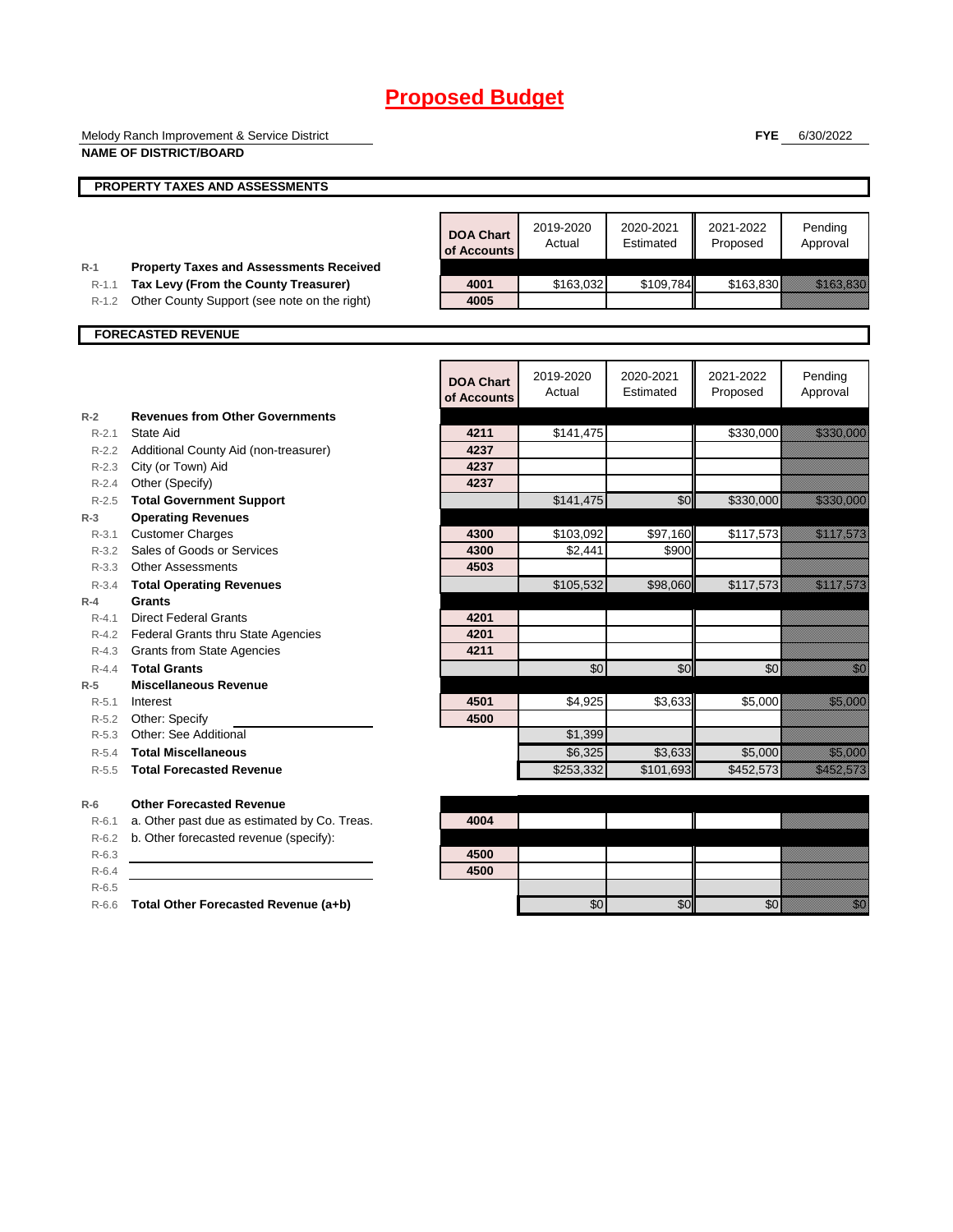|                    | Melody Ranch Improvement & Service District                                            |                                 |                     |                        | <b>FYE</b>            | 6/30/2022                                                                                                                                                                                                                        |
|--------------------|----------------------------------------------------------------------------------------|---------------------------------|---------------------|------------------------|-----------------------|----------------------------------------------------------------------------------------------------------------------------------------------------------------------------------------------------------------------------------|
|                    | <b>NAME OF DISTRICT/BOARD</b>                                                          |                                 |                     |                        |                       |                                                                                                                                                                                                                                  |
|                    | <b>PROPERTY TAXES AND ASSESSMENTS</b>                                                  |                                 |                     |                        |                       |                                                                                                                                                                                                                                  |
|                    |                                                                                        |                                 |                     |                        |                       |                                                                                                                                                                                                                                  |
|                    |                                                                                        | <b>DOA Chart</b><br>of Accounts | 2019-2020<br>Actual | 2020-2021<br>Estimated | 2021-2022<br>Proposed | Pending<br>Approval                                                                                                                                                                                                              |
| $R-1$<br>$R-1.1$   | <b>Property Taxes and Assessments Received</b><br>Tax Levy (From the County Treasurer) | 4001                            | \$163,032           | \$109,784              | \$163,830             | <u> Kabupatèn Bandaran Bandaré Bandaré Bandaré Bandaré Bandaré Bandaré Bandaré Bandaré Bandaré Bandaré Bandaré B</u>                                                                                                             |
| $R-1.2$            | Other County Support (see note on the right)                                           | 4005                            |                     |                        |                       |                                                                                                                                                                                                                                  |
|                    |                                                                                        |                                 |                     |                        |                       |                                                                                                                                                                                                                                  |
|                    | <b>FORECASTED REVENUE</b>                                                              |                                 |                     |                        |                       |                                                                                                                                                                                                                                  |
|                    |                                                                                        |                                 |                     |                        |                       |                                                                                                                                                                                                                                  |
|                    |                                                                                        | <b>DOA Chart</b>                | 2019-2020           | 2020-2021              | 2021-2022             | Pending                                                                                                                                                                                                                          |
|                    |                                                                                        | of Accounts                     | Actual              | Estimated              | Proposed              | Approval                                                                                                                                                                                                                         |
| $R-2$              | <b>Revenues from Other Governments</b>                                                 |                                 |                     |                        |                       |                                                                                                                                                                                                                                  |
| $R-2.1$            | State Aid                                                                              | 4211                            | \$141,475           |                        | \$330,000             | <u> Karl Sara</u>                                                                                                                                                                                                                |
|                    | R-2.2 Additional County Aid (non-treasurer)                                            | 4237                            |                     |                        |                       |                                                                                                                                                                                                                                  |
|                    | R-2.3 City (or Town) Aid                                                               | 4237                            |                     |                        |                       |                                                                                                                                                                                                                                  |
|                    | R-2.4 Other (Specify)                                                                  | 4237                            |                     |                        |                       |                                                                                                                                                                                                                                  |
| $R - 2.5$          | <b>Total Government Support</b>                                                        |                                 | \$141,475           | \$0                    | \$330,000             | <u> Karl Salah Ba</u>                                                                                                                                                                                                            |
| $R-3$<br>$R - 3.1$ | <b>Operating Revenues</b><br><b>Customer Charges</b>                                   | 4300                            | \$103,092           | \$97,160               | \$117,573             |                                                                                                                                                                                                                                  |
| R-3.2              | Sales of Goods or Services                                                             | 4300                            | \$2,441             | \$900                  |                       | <u> Kalifornia (</u>                                                                                                                                                                                                             |
|                    | R-3.3 Other Assessments                                                                | 4503                            |                     |                        |                       |                                                                                                                                                                                                                                  |
| $R-3.4$            | <b>Total Operating Revenues</b>                                                        |                                 | \$105,532           | \$98,060               | \$117,573             | <u>esta la lingüística</u>                                                                                                                                                                                                       |
| $R-4$              | <b>Grants</b>                                                                          |                                 |                     |                        |                       |                                                                                                                                                                                                                                  |
| $R - 4.1$          | <b>Direct Federal Grants</b>                                                           | 4201                            |                     |                        |                       |                                                                                                                                                                                                                                  |
|                    | R-4.2 Federal Grants thru State Agencies                                               | 4201                            |                     |                        |                       |                                                                                                                                                                                                                                  |
|                    | R-4.3 Grants from State Agencies                                                       | 4211                            |                     |                        |                       |                                                                                                                                                                                                                                  |
| $R - 4.4$          | <b>Total Grants</b>                                                                    |                                 | \$0                 | \$0                    | \$0                   | en de la familie de la familie de la familie de la familie de la familie de la familie de la familie de la fam<br>De la familie de la familie de la familie de la familie de la familie de la familie de la familie de la famili |
| $R-5$              | <b>Miscellaneous Revenue</b>                                                           |                                 |                     |                        |                       |                                                                                                                                                                                                                                  |
| $R - 5.1$          | Interest                                                                               | 4501                            | \$4,925             | \$3,633                | \$5,000               | <u>tion and</u>                                                                                                                                                                                                                  |
| R-5.2              | Other: Specify                                                                         | 4500                            |                     |                        |                       |                                                                                                                                                                                                                                  |
| $R - 5.3$          | Other: See Additional                                                                  |                                 | \$1,399             |                        |                       |                                                                                                                                                                                                                                  |
| $R-5.4$            | <b>Total Miscellaneous</b>                                                             |                                 | \$6,325             | \$3,633                | \$5,000               | <u> Karlingan Sa</u>                                                                                                                                                                                                             |
| $R - 5.5$          | <b>Total Forecasted Revenue</b>                                                        |                                 | \$253,332           | \$101,693              | \$452,573             | <u> Karl Lindon (</u>                                                                                                                                                                                                            |
| $R-6$              | <b>Other Forecasted Revenue</b>                                                        |                                 |                     |                        |                       |                                                                                                                                                                                                                                  |
| $R-6.1$            | a. Other past due as estimated by Co. Treas.                                           | 4004                            |                     |                        |                       |                                                                                                                                                                                                                                  |
| $R-6.2$            | b. Other forecasted revenue (specify):                                                 |                                 |                     |                        |                       |                                                                                                                                                                                                                                  |
| $R-6.3$            |                                                                                        | 4500                            |                     |                        |                       |                                                                                                                                                                                                                                  |
| $R-6.4$            |                                                                                        | 4500                            |                     |                        |                       |                                                                                                                                                                                                                                  |
| $R-6.5$            |                                                                                        |                                 |                     |                        |                       |                                                                                                                                                                                                                                  |
| R-6.6              | Total Other Forecasted Revenue (a+b)                                                   |                                 | \$0                 | \$0                    | \$0                   | en de la familie de la familie de la familie de la familie de la familie de la familie de la familie de la fa<br>Espainia                                                                                                        |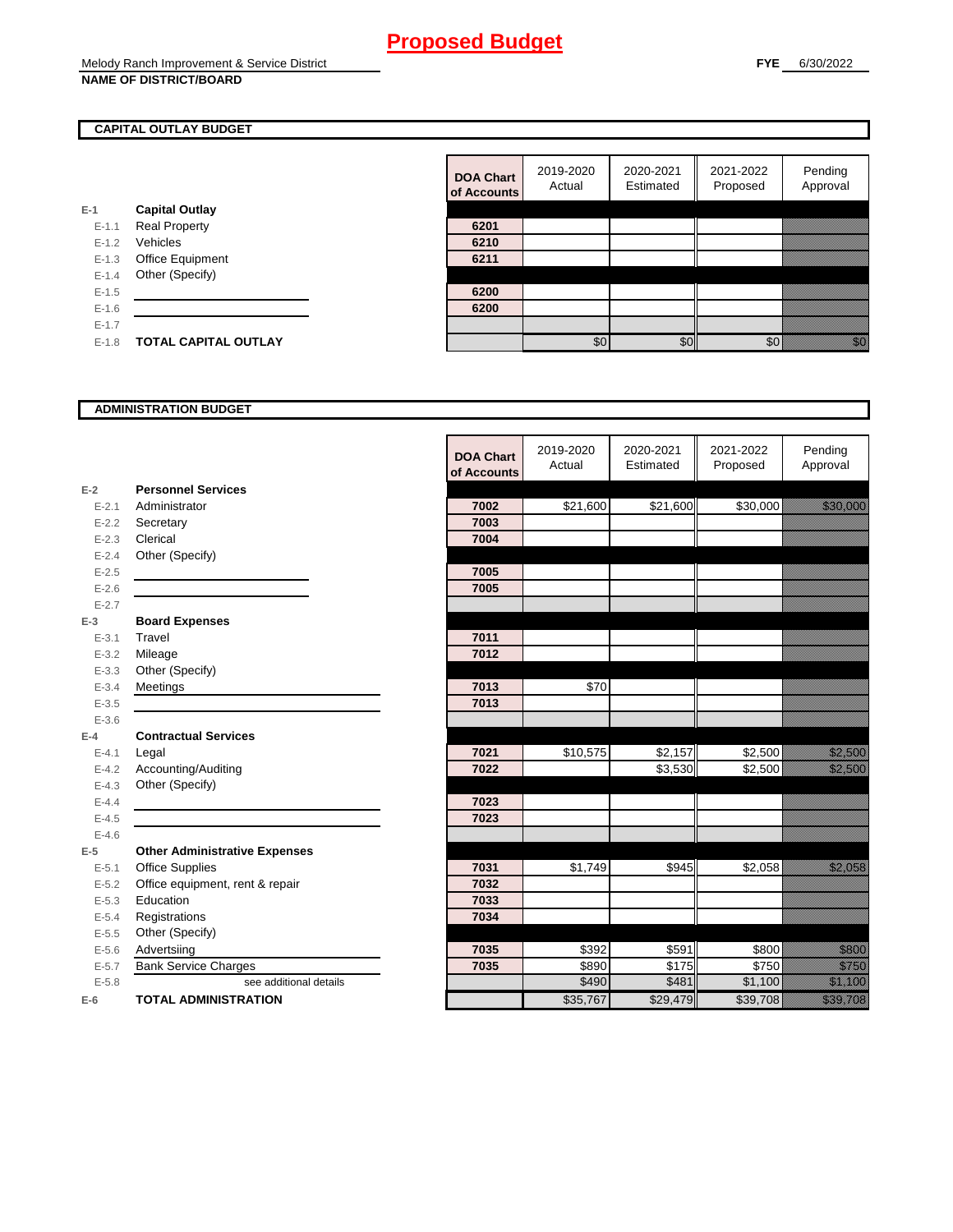## **CAPITAL OUTLAY BUDGET**

|           |                             | vi nuuv |
|-----------|-----------------------------|---------|
| E-1       | <b>Capital Outlay</b>       |         |
| $E - 1.1$ | <b>Real Property</b>        | 6201    |
| $E - 1.2$ | Vehicles                    | 6210    |
| $E-1.3$   | Office Equipment            | 6211    |
| $E - 1.4$ | Other (Specify)             |         |
| $E-1.5$   |                             | 6200    |
| $E - 1.6$ |                             | 6200    |
| $E - 1.7$ |                             |         |
| $E - 1.8$ | <b>TOTAL CAPITAL OUTLAY</b> |         |
|           |                             |         |

| <b>DOA Chart</b><br>of Accounts | 2019-2020<br>Actual | 2020-2021<br>Estimated | 2021-2022<br>Proposed | Pending<br>Approval |
|---------------------------------|---------------------|------------------------|-----------------------|---------------------|
|                                 |                     |                        |                       |                     |
| 6201                            |                     |                        |                       |                     |
| 6210                            |                     |                        |                       |                     |
| 6211                            |                     |                        |                       |                     |
|                                 |                     |                        |                       |                     |
| 6200                            |                     |                        |                       |                     |
| 6200                            |                     |                        |                       |                     |
|                                 |                     |                        |                       |                     |
|                                 | \$በ                 | ፍር                     |                       |                     |

#### **ADMINISTRATION BUDGET**

|           |                                      | <b>DOA Chart</b> | 2019-2020<br>Actual | 2020-2021<br>Estimated | 2021-2022<br>Proposed | Pending<br>Approval         |
|-----------|--------------------------------------|------------------|---------------------|------------------------|-----------------------|-----------------------------|
|           |                                      | of Accounts      |                     |                        |                       |                             |
| $E-2$     | <b>Personnel Services</b>            |                  |                     |                        |                       |                             |
| $E - 2.1$ | Administrator                        | 7002             | \$21,600            | \$21,600               | \$30,000              | an dhe an t-                |
| $E - 2.2$ | Secretary                            | 7003             |                     |                        |                       |                             |
| $E - 2.3$ | Clerical                             | 7004             |                     |                        |                       |                             |
| $E - 2.4$ | Other (Specify)                      |                  |                     |                        |                       |                             |
| $E - 2.5$ |                                      | 7005             |                     |                        |                       |                             |
| $E - 2.6$ |                                      | 7005             |                     |                        |                       |                             |
| $E - 2.7$ |                                      |                  |                     |                        |                       |                             |
| $E-3$     | <b>Board Expenses</b>                |                  |                     |                        |                       |                             |
| $E - 3.1$ | Travel                               | 7011             |                     |                        |                       |                             |
| $E - 3.2$ | Mileage                              | 7012             |                     |                        |                       |                             |
| $E - 3.3$ | Other (Specify)                      |                  |                     |                        |                       |                             |
| $E - 3.4$ | Meetings                             | 7013             | \$70                |                        |                       |                             |
| $E - 3.5$ |                                      | 7013             |                     |                        |                       |                             |
| $E - 3.6$ |                                      |                  |                     |                        |                       |                             |
| $E-4$     | <b>Contractual Services</b>          |                  |                     |                        |                       |                             |
| $E - 4.1$ | Legal                                | 7021             | \$10,575            | \$2,157                | \$2,500               | an dhe                      |
| $E-4.2$   | Accounting/Auditing                  | 7022             |                     | \$3,530                | \$2,500               | <u> Kalendari Seria</u>     |
| $E - 4.3$ | Other (Specify)                      |                  |                     |                        |                       |                             |
| $E-4.4$   |                                      | 7023             |                     |                        |                       |                             |
| $E-4.5$   |                                      | 7023             |                     |                        |                       |                             |
| $E - 4.6$ |                                      |                  |                     |                        |                       |                             |
| $E-5$     | <b>Other Administrative Expenses</b> |                  |                     |                        |                       |                             |
| $E - 5.1$ | <b>Office Supplies</b>               | 7031             | \$1,749             | \$945                  | \$2,058               | <u>till fram en sta</u>     |
| $E - 5.2$ | Office equipment, rent & repair      | 7032             |                     |                        |                       |                             |
| $E - 5.3$ | Education                            | 7033             |                     |                        |                       |                             |
| $E - 5.4$ | Registrations                        | 7034             |                     |                        |                       |                             |
| $E-5.5$   | Other (Specify)                      |                  |                     |                        |                       |                             |
| $E - 5.6$ | Advertsiing                          | 7035             | \$392               | \$591                  | \$800                 | <u>till andra</u>           |
| $E - 5.7$ | <b>Bank Service Charges</b>          | 7035             | \$890               | $\overline{\$}$ 175    | \$750                 | <u>till framförfattar e</u> |
| $E - 5.8$ | see additional details               |                  | \$490               | \$481                  | \$1,100               | <u> Kalendari Serika</u>    |
| $E-6$     | <b>TOTAL ADMINISTRATION</b>          |                  | \$35,767            | \$29,479               | \$39,708              | a a an an t-Òirean          |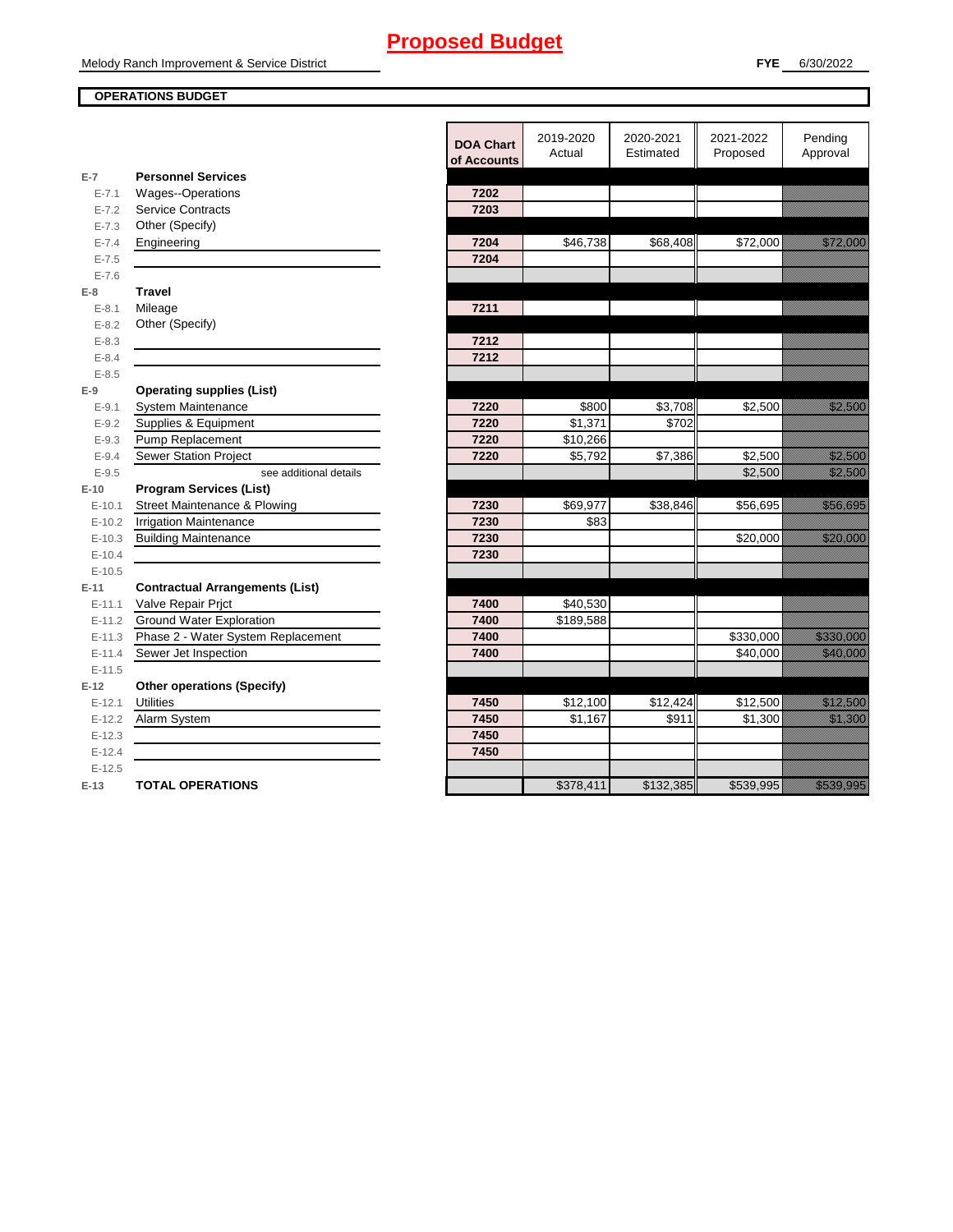## **OPERATIONS BUDGET**

|           |                                        | <b>DOA Chart</b><br>of Accounts | 2019-2020<br>Actual  | 2020-2021<br>Estimated | 2021-2022<br>Proposed | Pending<br>Approval      |
|-----------|----------------------------------------|---------------------------------|----------------------|------------------------|-----------------------|--------------------------|
| $E-7$     | <b>Personnel Services</b>              |                                 |                      |                        |                       |                          |
| $E - 7.1$ | Wages--Operations                      | 7202                            |                      |                        |                       |                          |
| $E - 7.2$ | <b>Service Contracts</b>               | 7203                            |                      |                        |                       |                          |
| $E - 7.3$ | Other (Specify)                        |                                 |                      |                        |                       |                          |
| $E - 7.4$ | Engineering                            | 7204                            | \$46,738             | \$68,408               | \$72,000              | <u> Martin Sara</u>      |
| $E - 7.5$ |                                        | 7204                            |                      |                        |                       |                          |
| $E - 7.6$ |                                        |                                 |                      |                        |                       |                          |
| $E-8$     | <b>Travel</b>                          |                                 |                      |                        |                       |                          |
| $E - 8.1$ | Mileage                                | 7211                            |                      |                        |                       |                          |
| $E - 8.2$ | Other (Specify)                        |                                 |                      |                        |                       |                          |
| $E - 8.3$ |                                        | 7212                            |                      |                        |                       |                          |
| $E - 8.4$ |                                        | 7212                            |                      |                        |                       |                          |
| $E - 8.5$ |                                        |                                 |                      |                        |                       |                          |
| $E-9$     | <b>Operating supplies (List)</b>       |                                 |                      |                        |                       |                          |
| $E - 9.1$ | <b>System Maintenance</b>              | 7220                            | \$800                | \$3,708                | \$2,500               | <u>i ka</u>              |
| $E - 9.2$ | Supplies & Equipment                   | 7220                            | \$1.371              | \$702                  |                       |                          |
| $E - 9.3$ | Pump Replacement                       | 7220                            | \$10,266             |                        |                       |                          |
| $E - 9.4$ | <b>Sewer Station Project</b>           | 7220                            | \$5,792              | \$7,386                | \$2,500               | <u> Hillian Sa</u>       |
| $E - 9.5$ | see additional details                 |                                 |                      |                        | \$2,500               | <u> Kalendari Seria</u>  |
| $E-10$    | <b>Program Services (List)</b>         |                                 |                      |                        |                       |                          |
| $E-10.1$  | Street Maintenance & Plowing           | 7230                            | \$69,977             | \$38,846               | \$56,695              | <u>tionalisticianis</u>  |
| $E-10.2$  | <b>Irrigation Maintenance</b>          | 7230                            | \$83                 |                        |                       |                          |
| $E-10.3$  | <b>Building Maintenance</b>            | 7230                            |                      |                        | \$20,000              | <u> Hillian Star</u>     |
| $E-10.4$  |                                        | 7230                            |                      |                        |                       |                          |
| $E-10.5$  |                                        |                                 |                      |                        |                       |                          |
| $E-11$    | <b>Contractual Arrangements (List)</b> |                                 |                      |                        |                       |                          |
| $E-11.1$  | Valve Repair Prict                     | 7400                            | $\overline{$40,530}$ |                        |                       |                          |
| $E-11.2$  | <b>Ground Water Exploration</b>        | 7400                            | \$189,588            |                        |                       |                          |
| $E-11.3$  | Phase 2 - Water System Replacement     | 7400                            |                      |                        | \$330,000             | <u> Kabupatèn Ba</u>     |
| $E-11.4$  | Sewer Jet Inspection                   | 7400                            |                      |                        | \$40,000              | <u> Elizabeth Carl</u>   |
| $E-11.5$  |                                        |                                 |                      |                        |                       |                          |
| $E-12$    | <b>Other operations (Specify)</b>      |                                 |                      |                        |                       |                          |
| $E-12.1$  | <b>Utilities</b>                       | 7450                            | \$12,100             | \$12,424               | \$12,500              | <u>era de la constru</u> |
| $E-12.2$  | Alarm System                           | 7450                            | \$1,167              | \$911                  | \$1,300               | <u>ti ka</u>             |
| $E-12.3$  |                                        | 7450                            |                      |                        |                       |                          |
| $E-12.4$  |                                        | 7450                            |                      |                        |                       |                          |
| $E-12.5$  |                                        |                                 |                      |                        |                       |                          |
| $E-13$    | <b>TOTAL OPERATIONS</b>                |                                 | \$378,411            | \$132,385              | \$539,995             | <u> Karl Sara</u>        |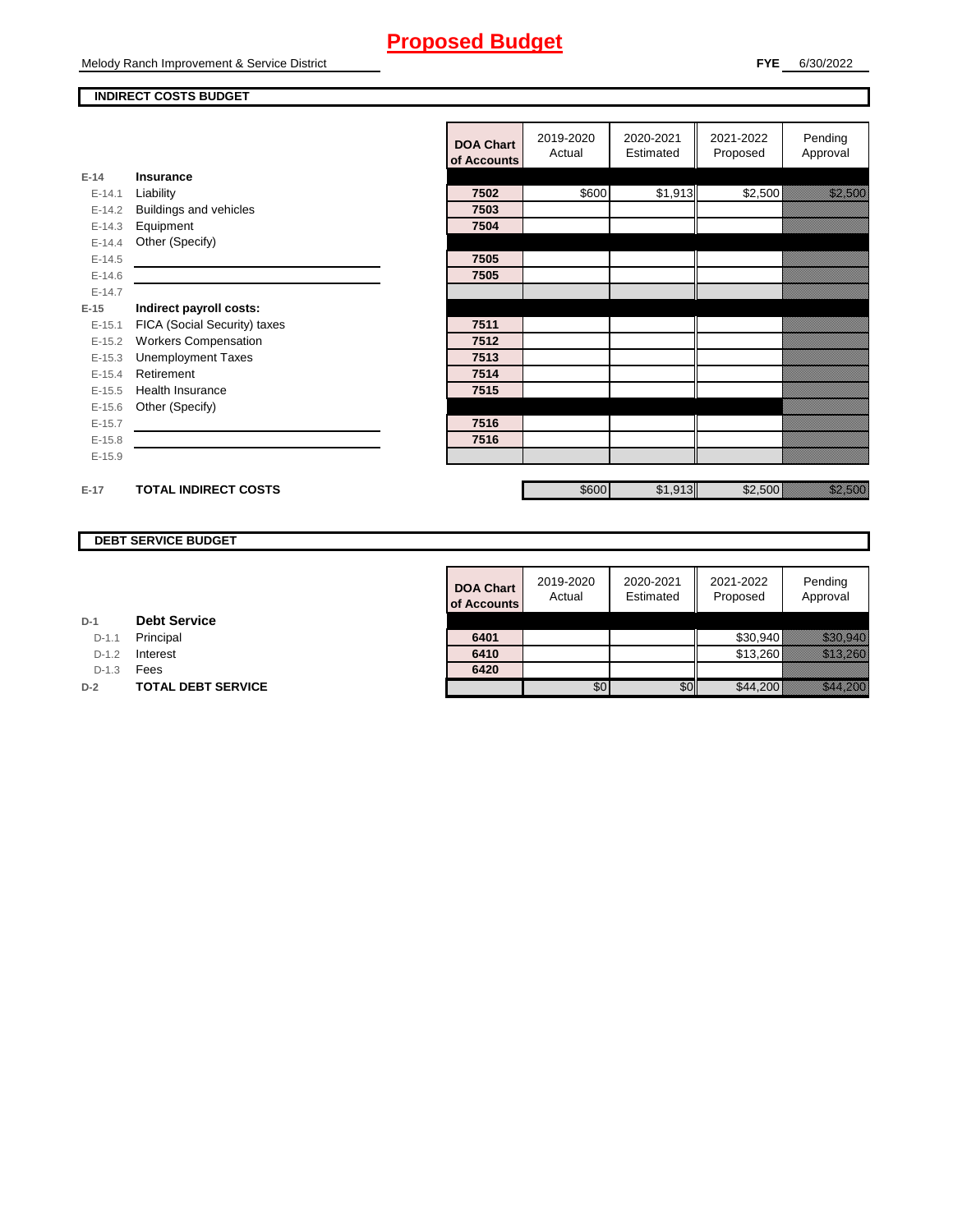Melody Ranch Improvement & Service District

#### **INDIRECT COSTS BUDGET**

|          |                              | <b>DOA Chart</b><br>of Accounts | 2019-2020<br>Actual | 2020-2021<br>Estimated | 2021-2022<br>Proposed | Pending<br>Approval                                                                                                                                                                                                             |
|----------|------------------------------|---------------------------------|---------------------|------------------------|-----------------------|---------------------------------------------------------------------------------------------------------------------------------------------------------------------------------------------------------------------------------|
| $E-14$   | Insurance                    |                                 |                     |                        |                       |                                                                                                                                                                                                                                 |
| $E-14.1$ | Liability                    | 7502                            | \$600               | \$1,913                | \$2,500               | a katika kutoka kutoka kutoka kutoka kutoka kutoka kutoka kutoka kutoka kutoka kutoka kutoka kutoka kutoka ku<br>Katika kutoka kutoka kutoka kutoka kutoka kutoka kutoka kutoka kutoka kutoka kutoka kutoka kutoka kutoka kutok |
| $E-14.2$ | Buildings and vehicles       | 7503                            |                     |                        |                       |                                                                                                                                                                                                                                 |
| $E-14.3$ | Equipment                    | 7504                            |                     |                        |                       |                                                                                                                                                                                                                                 |
| $E-14.4$ | Other (Specify)              |                                 |                     |                        |                       |                                                                                                                                                                                                                                 |
| $E-14.5$ |                              | 7505                            |                     |                        |                       |                                                                                                                                                                                                                                 |
| $E-14.6$ |                              | 7505                            |                     |                        |                       |                                                                                                                                                                                                                                 |
| $E-14.7$ |                              |                                 |                     |                        |                       |                                                                                                                                                                                                                                 |
| $E-15$   | Indirect payroll costs:      |                                 |                     |                        |                       |                                                                                                                                                                                                                                 |
| $E-15.1$ | FICA (Social Security) taxes | 7511                            |                     |                        |                       |                                                                                                                                                                                                                                 |
| $E-15.2$ | <b>Workers Compensation</b>  | 7512                            |                     |                        |                       |                                                                                                                                                                                                                                 |
| $E-15.3$ | <b>Unemployment Taxes</b>    | 7513                            |                     |                        |                       |                                                                                                                                                                                                                                 |
| $E-15.4$ | Retirement                   | 7514                            |                     |                        |                       |                                                                                                                                                                                                                                 |
| $E-15.5$ | Health Insurance             | 7515                            |                     |                        |                       |                                                                                                                                                                                                                                 |
| $E-15.6$ | Other (Specify)              |                                 |                     |                        |                       |                                                                                                                                                                                                                                 |
| $E-15.7$ |                              | 7516                            |                     |                        |                       |                                                                                                                                                                                                                                 |
| $E-15.8$ |                              | 7516                            |                     |                        |                       |                                                                                                                                                                                                                                 |
| $E-15.9$ |                              |                                 |                     |                        |                       |                                                                                                                                                                                                                                 |
| $E-17$   | <b>TOTAL INDIRECT COSTS</b>  |                                 | \$600               | \$1,913                | \$2,500               | e al composición de la composición de la composición de la composición de la composición de la composición de<br>Al composición de la composición de la composición de la composición de la composición de la composición de la |

## **DEBT SERVICE BUDGET**

| <b>DOA Chart</b><br>of Accounts | 2019-2020<br>Actual | 2020-2021<br>Estimated | 2021-2022<br>Proposed | Pending<br>Approval |
|---------------------------------|---------------------|------------------------|-----------------------|---------------------|
|                                 |                     |                        |                       |                     |
| 6401                            |                     |                        | \$30,940              |                     |
| 6410                            |                     |                        | \$13,260              |                     |
| 6420                            |                     |                        |                       |                     |
|                                 |                     |                        |                       |                     |

| D-1 |  | <b>Debt Service</b> |
|-----|--|---------------------|
|-----|--|---------------------|

D-1.1 **Principal** 

D-1.2 **Interest** 

D-1.3 **Fees** 

**D-2 TOTAL DEBT SERVICE**